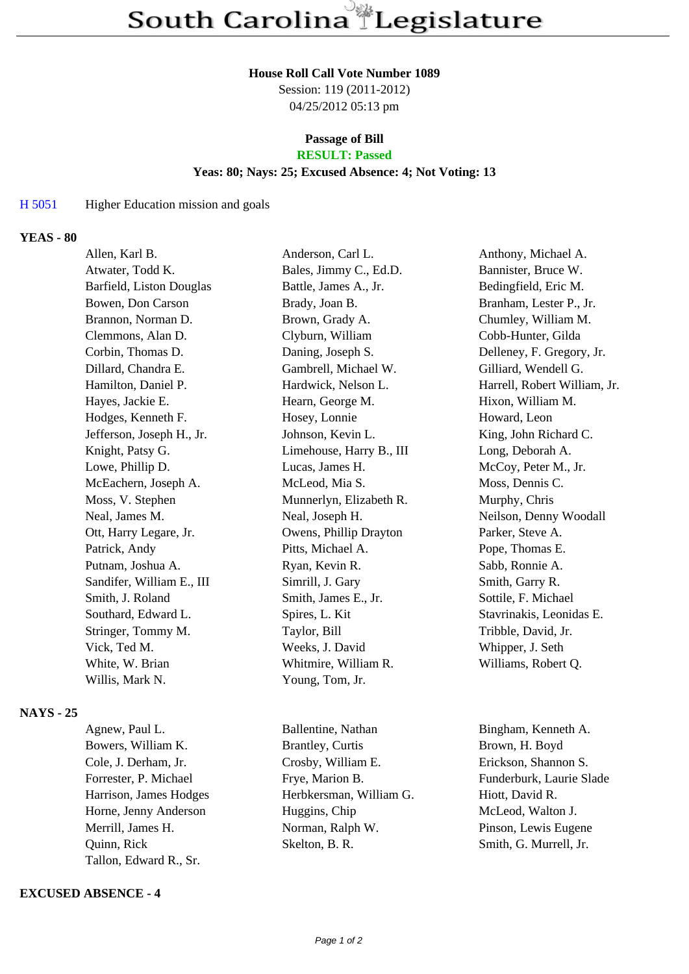#### **House Roll Call Vote Number 1089**

Session: 119 (2011-2012) 04/25/2012 05:13 pm

# **Passage of Bill**

## **RESULT: Passed**

## **Yeas: 80; Nays: 25; Excused Absence: 4; Not Voting: 13**

#### H 5051 Higher Education mission and goals

#### **YEAS - 80**

| Allen, Karl B.            | Anderson, Carl L.        | Anthony, Michael A.          |
|---------------------------|--------------------------|------------------------------|
| Atwater, Todd K.          | Bales, Jimmy C., Ed.D.   | Bannister, Bruce W.          |
| Barfield, Liston Douglas  | Battle, James A., Jr.    | Bedingfield, Eric M.         |
| Bowen, Don Carson         | Brady, Joan B.           | Branham, Lester P., Jr.      |
| Brannon, Norman D.        | Brown, Grady A.          | Chumley, William M.          |
| Clemmons, Alan D.         | Clyburn, William         | Cobb-Hunter, Gilda           |
| Corbin, Thomas D.         | Daning, Joseph S.        | Delleney, F. Gregory, Jr.    |
| Dillard, Chandra E.       | Gambrell, Michael W.     | Gilliard, Wendell G.         |
| Hamilton, Daniel P.       | Hardwick, Nelson L.      | Harrell, Robert William, Jr. |
| Hayes, Jackie E.          | Hearn, George M.         | Hixon, William M.            |
| Hodges, Kenneth F.        | Hosey, Lonnie            | Howard, Leon                 |
| Jefferson, Joseph H., Jr. | Johnson, Kevin L.        | King, John Richard C.        |
| Knight, Patsy G.          | Limehouse, Harry B., III | Long, Deborah A.             |
| Lowe, Phillip D.          | Lucas, James H.          | McCoy, Peter M., Jr.         |
| McEachern, Joseph A.      | McLeod, Mia S.           | Moss, Dennis C.              |
| Moss, V. Stephen          | Munnerlyn, Elizabeth R.  | Murphy, Chris                |
| Neal, James M.            | Neal, Joseph H.          | Neilson, Denny Woodall       |
| Ott, Harry Legare, Jr.    | Owens, Phillip Drayton   | Parker, Steve A.             |
| Patrick, Andy             | Pitts, Michael A.        | Pope, Thomas E.              |
| Putnam, Joshua A.         | Ryan, Kevin R.           | Sabb, Ronnie A.              |
| Sandifer, William E., III | Simrill, J. Gary         | Smith, Garry R.              |
| Smith, J. Roland          | Smith, James E., Jr.     | Sottile, F. Michael          |
| Southard, Edward L.       | Spires, L. Kit           | Stavrinakis, Leonidas E.     |
| Stringer, Tommy M.        | Taylor, Bill             | Tribble, David, Jr.          |
| Vick, Ted M.              | Weeks, J. David          | Whipper, J. Seth             |
| White, W. Brian           | Whitmire, William R.     | Williams, Robert Q.          |
| Willis, Mark N.           | Young, Tom, Jr.          |                              |
|                           |                          |                              |

## **NAYS - 25**

Tallon, Edward R., Sr.

### **EXCUSED ABSENCE - 4**

Agnew, Paul L. Ballentine, Nathan Bingham, Kenneth A. Bowers, William K. Brantley, Curtis Brown, H. Boyd Cole, J. Derham, Jr. Crosby, William E. Erickson, Shannon S. Forrester, P. Michael Frye, Marion B. Funderburk, Laurie Slade Harrison, James Hodges Herbkersman, William G. Hiott, David R. Horne, Jenny Anderson Huggins, Chip McLeod, Walton J. Merrill, James H. Norman, Ralph W. Pinson, Lewis Eugene Quinn, Rick Skelton, B. R. Smith, G. Murrell, Jr.